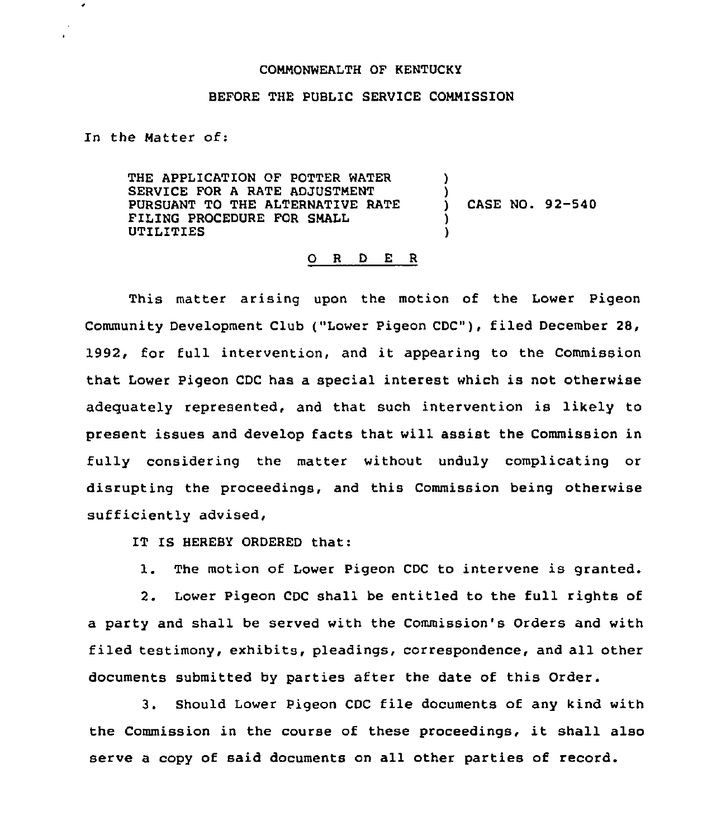## COMMONWEALTH OF KENTUCKY

## BEFORE THE PUBLIC SERVICE COMMISSION

In the Matter of:

 $\pmb{\cdot}$ 

THE APPLICATION OF POTTER WATER SERVICE FOR A RATE ADJUSTMENT PURSUANT TO THE ALTERNATIVE RATE FILING PROCEDURE FOR SMALL UTILITIES ) ) ) CASE NO. 92-540 ) )

## 0 <sup>R</sup> <sup>D</sup> E <sup>R</sup>

This matter arising upon the motion of the Lower Pigeon Community Development Club ("Lower Pigeon CDC"), filed December 28, 1992, for full intervention, and it appearing to the Commission that Lower Pigeon CDC has a special interest which is not otherwise adequately represented, and that such intervention is likely to present issues and develop facts that will assist the Commission in fully considering the matter without unduly complicating or disrupting the proceedings, and this Commission being otherwise sufficiently advised,

IT IS HEREBY ORDERED that:

1. The motion of Lower Pigeon CDC to intervene is granted.

2. Lower Pigeon CDC shall be entitled to the full rights of a party and shall be served with the Commission's Orders and with filed testimony, exhibits, pleadings, correspondence, and all other documents submitted by parties after the date of this Order.

3. Should Lower Pigeon CDC file documents of any kind with the Commission in the course of these proceedings, it shall also serve a copy of said documents on all other parties of record.